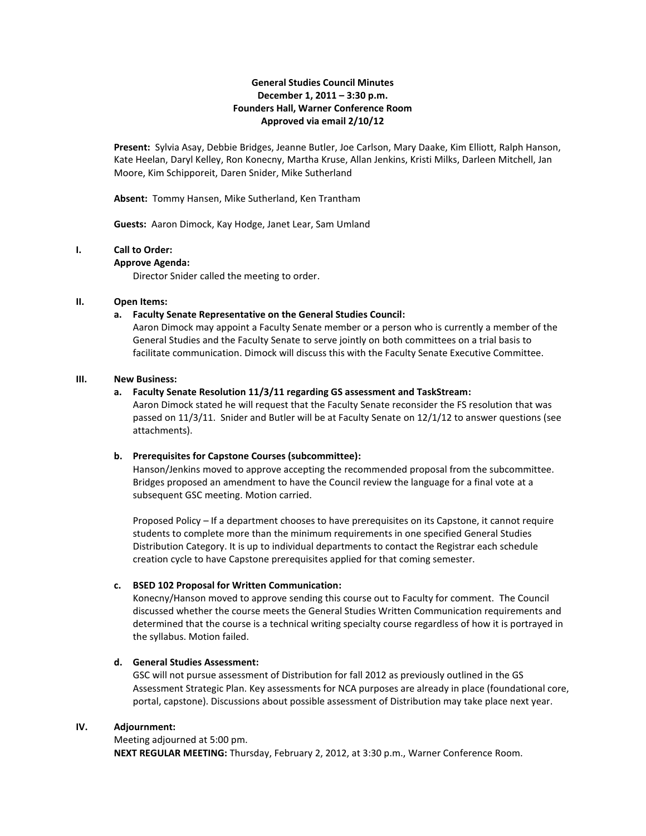### **General Studies Council Minutes December 1, 2011 – 3:30 p.m. Founders Hall, Warner Conference Room Approved via email 2/10/12**

**Present:** Sylvia Asay, Debbie Bridges, Jeanne Butler, Joe Carlson, Mary Daake, Kim Elliott, Ralph Hanson, Kate Heelan, Daryl Kelley, Ron Konecny, Martha Kruse, Allan Jenkins, Kristi Milks, Darleen Mitchell, Jan Moore, Kim Schipporeit, Daren Snider, Mike Sutherland

**Absent:** Tommy Hansen, Mike Sutherland, Ken Trantham

**Guests:** Aaron Dimock, Kay Hodge, Janet Lear, Sam Umland

### **I. Call to Order:**

#### **Approve Agenda:**

Director Snider called the meeting to order.

### **II. Open Items:**

#### **a. Faculty Senate Representative on the General Studies Council:**

Aaron Dimock may appoint a Faculty Senate member or a person who is currently a member of the General Studies and the Faculty Senate to serve jointly on both committees on a trial basis to facilitate communication. Dimock will discuss this with the Faculty Senate Executive Committee.

#### **III. New Business:**

#### **a. Faculty Senate Resolution 11/3/11 regarding GS assessment and TaskStream:**

Aaron Dimock stated he will request that the Faculty Senate reconsider the FS resolution that was passed on 11/3/11. Snider and Butler will be at Faculty Senate on 12/1/12 to answer questions (see attachments).

### **b. Prerequisites for Capstone Courses (subcommittee):**

Hanson/Jenkins moved to approve accepting the recommended proposal from the subcommittee. Bridges proposed an amendment to have the Council review the language for a final vote at a subsequent GSC meeting. Motion carried.

Proposed Policy – If a department chooses to have prerequisites on its Capstone, it cannot require students to complete more than the minimum requirements in one specified General Studies Distribution Category. It is up to individual departments to contact the Registrar each schedule creation cycle to have Capstone prerequisites applied for that coming semester.

### **c. BSED 102 Proposal for Written Communication:**

Konecny/Hanson moved to approve sending this course out to Faculty for comment. The Council discussed whether the course meets the General Studies Written Communication requirements and determined that the course is a technical writing specialty course regardless of how it is portrayed in the syllabus. Motion failed.

### **d. General Studies Assessment:**

GSC will not pursue assessment of Distribution for fall 2012 as previously outlined in the GS Assessment Strategic Plan. Key assessments for NCA purposes are already in place (foundational core, portal, capstone). Discussions about possible assessment of Distribution may take place next year.

#### **IV. Adjournment:**

Meeting adjourned at 5:00 pm. **NEXT REGULAR MEETING:** Thursday, February 2, 2012, at 3:30 p.m., Warner Conference Room.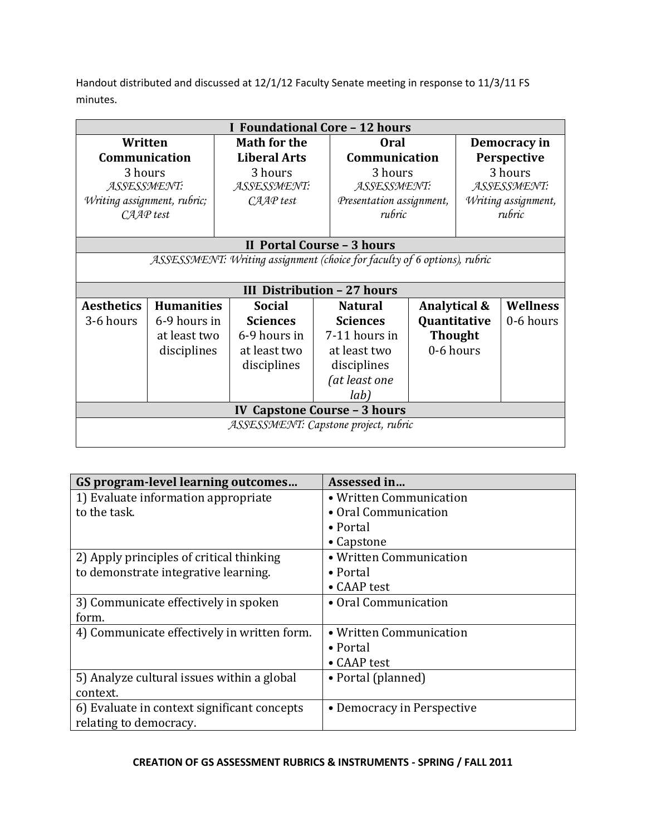Handout distributed and discussed at 12/1/12 Faculty Senate meeting in response to 11/3/11 FS minutes.

| I Foundational Core - 12 hours                                           |                   |                     |                                    |                          |        |                     |  |
|--------------------------------------------------------------------------|-------------------|---------------------|------------------------------------|--------------------------|--------|---------------------|--|
| Written                                                                  |                   | <b>Math for the</b> |                                    | <b>Oral</b>              |        | Democracy in        |  |
| Communication                                                            |                   | <b>Liberal Arts</b> |                                    | Communication            |        | Perspective         |  |
| 3 hours                                                                  |                   | 3 hours             |                                    | 3 hours                  |        | 3 hours             |  |
| ASSESSMENT:                                                              |                   | ASSESSMENT:         |                                    | ASSESSMENT:              |        | ASSESSMENT:         |  |
| Writing assignment, rubric;                                              |                   | CAAP test           |                                    | Presentation assignment, |        | Writing assignment, |  |
| CAAP test                                                                |                   |                     | rubric                             |                          | rubric |                     |  |
|                                                                          |                   |                     |                                    |                          |        |                     |  |
| II Portal Course - 3 hours                                               |                   |                     |                                    |                          |        |                     |  |
| ASSESSMENT: Writing assignment (choice for faculty of 6 options), rubric |                   |                     |                                    |                          |        |                     |  |
|                                                                          |                   |                     |                                    |                          |        |                     |  |
|                                                                          |                   |                     | <b>III Distribution - 27 hours</b> |                          |        |                     |  |
| <b>Aesthetics</b>                                                        | <b>Humanities</b> | <b>Social</b>       | <b>Natural</b>                     | Analytical &             |        | Wellness            |  |
| 3-6 hours                                                                | 6-9 hours in      | <b>Sciences</b>     | <b>Sciences</b>                    | Quantitative             |        | 0-6 hours           |  |
|                                                                          | at least two      | 6-9 hours in        | 7-11 hours in                      | <b>Thought</b>           |        |                     |  |
|                                                                          | disciplines       | at least two        | at least two                       | 0-6 hours                |        |                     |  |
|                                                                          |                   | disciplines         | disciplines                        |                          |        |                     |  |
|                                                                          |                   |                     | (at least one                      |                          |        |                     |  |
|                                                                          |                   |                     | lab)                               |                          |        |                     |  |
| <b>IV Capstone Course - 3 hours</b>                                      |                   |                     |                                    |                          |        |                     |  |
| ASSESSMENT: Capstone project, rubric                                     |                   |                     |                                    |                          |        |                     |  |
|                                                                          |                   |                     |                                    |                          |        |                     |  |

| GS program-level learning outcomes          | Assessed in                |
|---------------------------------------------|----------------------------|
| 1) Evaluate information appropriate         | • Written Communication    |
| to the task.                                | • Oral Communication       |
|                                             | $\bullet$ Portal           |
|                                             | • Capstone                 |
| 2) Apply principles of critical thinking    | • Written Communication    |
| to demonstrate integrative learning.        | • Portal                   |
|                                             | • CAAP test                |
| 3) Communicate effectively in spoken        | • Oral Communication       |
| form.                                       |                            |
| 4) Communicate effectively in written form. | • Written Communication    |
|                                             | • Portal                   |
|                                             | • CAAP test                |
| 5) Analyze cultural issues within a global  | • Portal (planned)         |
| context.                                    |                            |
| 6) Evaluate in context significant concepts | • Democracy in Perspective |
| relating to democracy.                      |                            |

# **CREATION OF GS ASSESSMENT RUBRICS & INSTRUMENTS - SPRING / FALL 2011**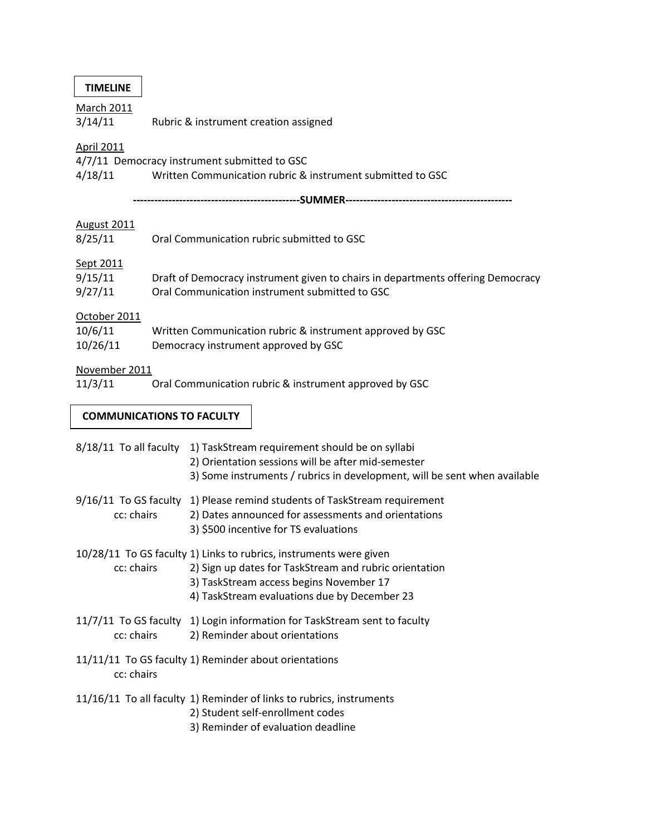| TIMELINE |
|----------|
|----------|

March 2011

3/14/11 Rubric & instrument creation assigned

# April 2011

4/7/11 Democracy instrument submitted to GSC

4/18/11 Written Communication rubric & instrument submitted to GSC

**-----------------------------------------------SUMMER-----------------------------------------------**

# August 2011

| 8/25/11                             | Oral Communication rubric submitted to GSC                                                                                        |  |  |
|-------------------------------------|-----------------------------------------------------------------------------------------------------------------------------------|--|--|
| Sept 2011<br>9/15/11<br>9/27/11     | Draft of Democracy instrument given to chairs in departments offering Democracy<br>Oral Communication instrument submitted to GSC |  |  |
| October 2011<br>10/6/11<br>10/26/11 | Written Communication rubric & instrument approved by GSC<br>Democracy instrument approved by GSC                                 |  |  |

# November 2011

11/3/11 Oral Communication rubric & instrument approved by GSC

# **COMMUNICATIONS TO FACULTY**

| $8/18/11$ To all faculty | 1) TaskStream requirement should be on syllabi<br>2) Orientation sessions will be after mid-semester<br>3) Some instruments / rubrics in development, will be sent when available                                       |
|--------------------------|-------------------------------------------------------------------------------------------------------------------------------------------------------------------------------------------------------------------------|
| cc: chairs               | 9/16/11 To GS faculty 1) Please remind students of TaskStream requirement<br>2) Dates announced for assessments and orientations<br>3) \$500 incentive for TS evaluations                                               |
| cc: chairs               | 10/28/11 To GS faculty 1) Links to rubrics, instruments were given<br>2) Sign up dates for TaskStream and rubric orientation<br>3) TaskStream access begins November 17<br>4) TaskStream evaluations due by December 23 |
| cc: chairs               | 11/7/11 To GS faculty 1) Login information for TaskStream sent to faculty<br>2) Reminder about orientations                                                                                                             |
| cc: chairs               | 11/11/11 To GS faculty 1) Reminder about orientations                                                                                                                                                                   |
|                          | 11/16/11 To all faculty 1) Reminder of links to rubrics, instruments<br>2) Student self-enrollment codes<br>3) Reminder of evaluation deadline                                                                          |